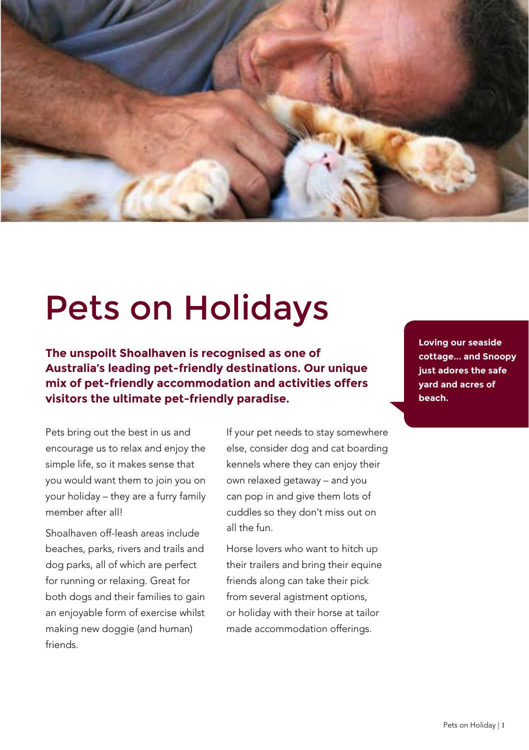

# Pets on Holidays

**The unspoilt Shoalhaven is recognised as one of Australia's leading pet-friendly destinations. Our unique mix of pet-friendly accommodation and activities offers visitors the ultimate pet-friendly paradise.**

Pets bring out the best in us and encourage us to relax and enjoy the simple life, so it makes sense that you would want them to join you on your holiday – they are a furry family member after all!

Shoalhaven off-leash areas include beaches, parks, rivers and trails and dog parks, all of which are perfect for running or relaxing. Great for both dogs and their families to gain an enjoyable form of exercise whilst making new doggie (and human) friends.

If your pet needs to stay somewhere else, consider dog and cat boarding kennels where they can enjoy their own relaxed getaway – and you can pop in and give them lots of cuddles so they don't miss out on all the fun.

Horse lovers who want to hitch up their trailers and bring their equine friends along can take their pick from several agistment options, or holiday with their horse at tailor made accommodation offerings.

**Loving our seaside cottage... and Snoopy just adores the safe yard and acres of beach.**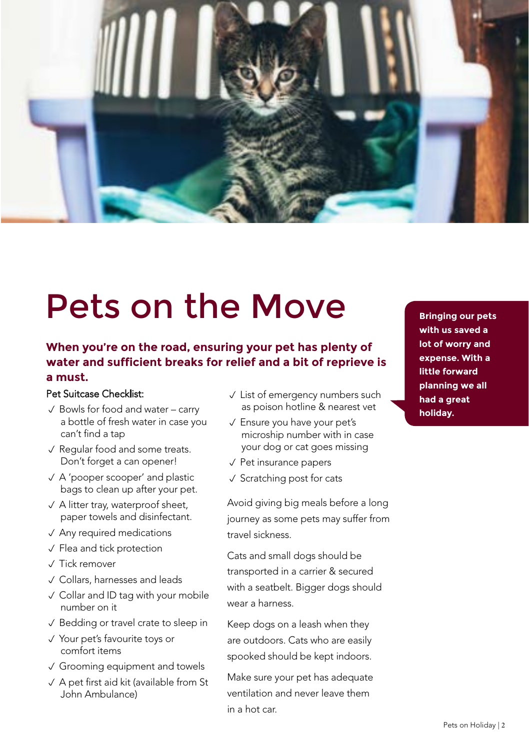

# Pets on the Move

## **When you're on the road, ensuring your pet has plenty of water and sufficient breaks for relief and a bit of reprieve is a must.**

## Pet Suitcase Checklist:

- $\sqrt{\ }$  Bowls for food and water carry a bottle of fresh water in case you can't find a tap
- $\sqrt{\ }$  Regular food and some treats. Don't forget a can opener!
- $\sqrt{A}$  'pooper scooper' and plastic bags to clean up after your pet.
- $\sqrt{ }$  A litter tray, waterproof sheet, paper towels and disinfectant.
- $\sqrt{\phantom{a}}$  Any required medications
- $\sqrt{\phantom{a}}$  Flea and tick protection
- $\sqrt{}$  Tick remover
- $\sqrt{\ }$  Collars, harnesses and leads
- $\checkmark$  Collar and ID tag with your mobile number on it
- $\sqrt{\ }$  Bedding or travel crate to sleep in
- √ Your pet's favourite toys or comfort items
- $\sqrt{ }$  Grooming equipment and towels
- $\vee$  A pet first aid kit (available from St John Ambulance)
- $\sqrt{\ }$  List of emergency numbers such as poison hotline & nearest vet
- $\sqrt{\ }$  Ensure you have your pet's microship number with in case your dog or cat goes missing
- $\sqrt{P}$ et insurance papers
- $\sqrt{\ }$  Scratching post for cats

Avoid giving big meals before a long journey as some pets may suffer from travel sickness.

Cats and small dogs should be transported in a carrier & secured with a seatbelt. Bigger dogs should wear a harness.

Keep dogs on a leash when they are outdoors. Cats who are easily spooked should be kept indoors.

Make sure your pet has adequate ventilation and never leave them in a hot car.

**with us saved a lot of worry and expense. With a little forward planning we all had a great holiday.**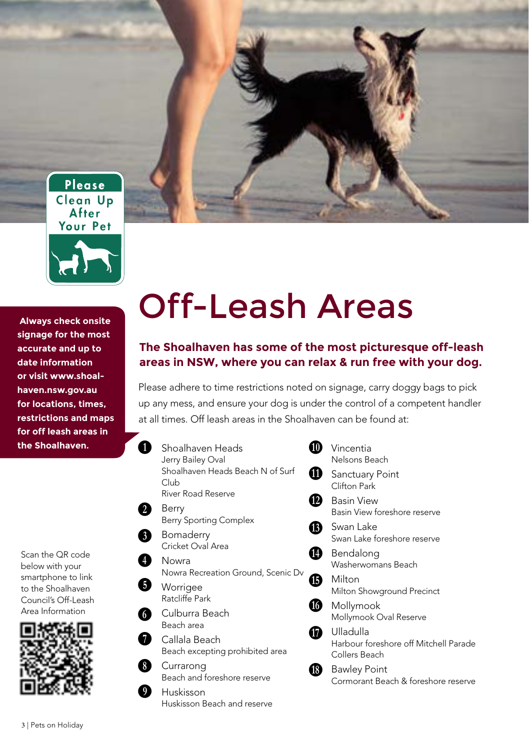

 **Always check onsite signage for the most accurate and up to date information or visit www.shoalhaven.nsw.gov.au for locations, times, [restrictions and maps](http://www.shoalhaven.nsw.gov.au)  for off leash areas in the Shoalhaven.**

Scan the QR code below with your smartphone to link to the Shoalhaven Council's Off-Leash Area Information



# Off-Leash Areas

## **The Shoalhaven has some of the most picturesque off-leash areas in NSW, where you can relax & run free with your dog.**

Please adhere to time restrictions noted on signage, carry doggy bags to pick up any mess, and ensure your dog is under the control of a competent handler at all times. Off leash areas in the Shoalhaven can be found at:

**1** Shoalhaven Heads **10** Jerry Bailey Oval Shoalhaven Heads Beach N of Surf Club River Road Reserve <sup>B</sup> Berry Berry Sporting Complex **B** Bomaderry Cricket Oval Area **O** Nowra Nowra Recreation Ground, Scenic Dv **D** Worrigee Ratcliffe Park **G** Culburra Beach Beach area **G** Callala Beach Beach excepting prohibited area Currarong Beach and foreshore reserve Huskisson **m** Vincentia Clifton Park **B** Basin View <sup>1</sup> Swan Lake **B** Milton **1** Ulladulla  $\bm{0}$  $\boldsymbol{0}$ 

Huskisson Beach and reserve

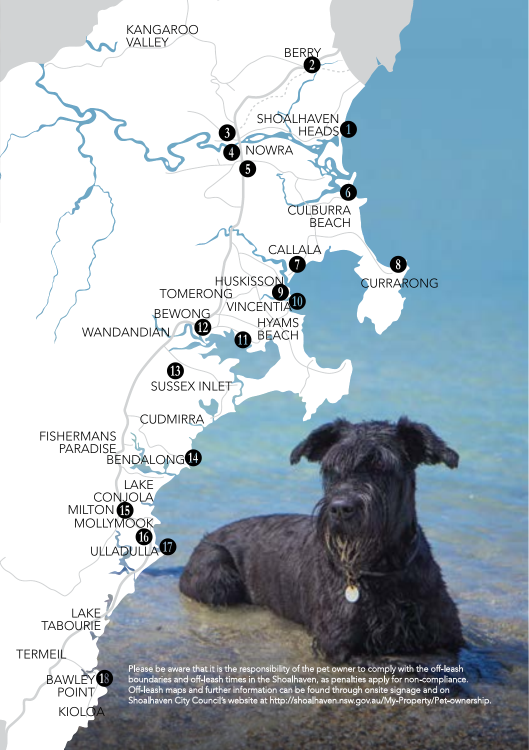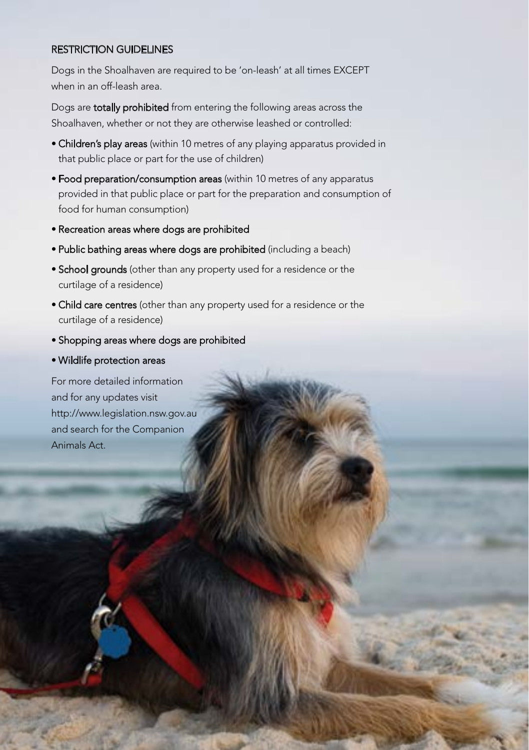#### RESTRICTION GUIDELINES

Dogs in the Shoalhaven are required to be 'on-leash' at all times EXCEPT when in an off-leash area.

Dogs are totally prohibited from entering the following areas across the Shoalhaven, whether or not they are otherwise leashed or controlled:

- Children's play areas (within 10 metres of any playing apparatus provided in that public place or part for the use of children)
- Food preparation/consumption areas (within 10 metres of any apparatus [provided in that public place or part for the preparation and consumption of](http://www.legislation.nsw.gov.au 
) food for human consumption)
- Recreation areas where dogs are prohibited
- Public bathing areas where dogs are prohibited (including a beach)
- School grounds (other than any property used for a residence or the curtilage of a residence)
- Child care centres (other than any property used for a residence or the curtilage of a residence)
- Shopping areas where dogs are prohibited
- Wildlife protection areas

**12 | Pets on Holiday** 

For more detailed information and for any updates visit http://www.legislation.nsw.gov.au and search for the Companion Animals Act.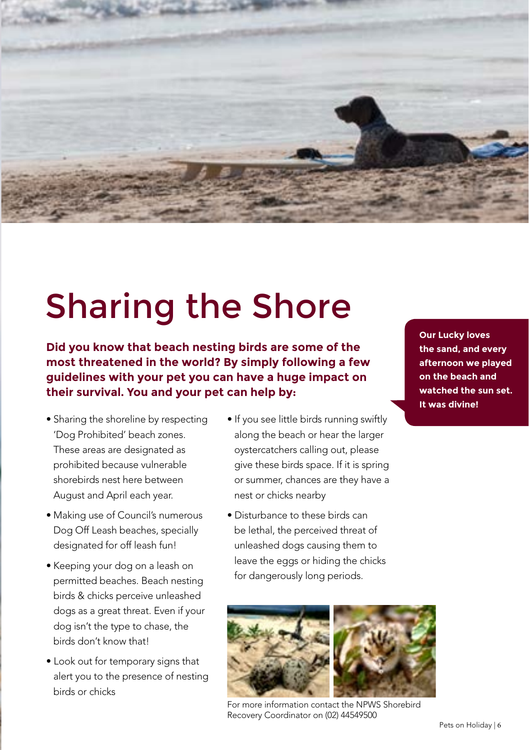

# Sharing the Shore

**Did you know that beach nesting birds are some of the most threatened in the world? By simply following a few guidelines with your pet you can have a huge impact on their survival. You and your pet can help by:**

- Sharing the shoreline by respecting 'Dog Prohibited' beach zones. These areas are designated as prohibited because vulnerable shorebirds nest here between August and April each year.
- Making use of Council's numerous Dog Off Leash beaches, specially designated for off leash fun!
- Keeping your dog on a leash on permitted beaches. Beach nesting birds & chicks perceive unleashed dogs as a great threat. Even if your dog isn't the type to chase, the birds don't know that!
- Look out for temporary signs that alert you to the presence of nesting birds or chicks
- If you see little birds running swiftly along the beach or hear the larger oystercatchers calling out, please give these birds space. If it is spring or summer, chances are they have a nest or chicks nearby
- Disturbance to these birds can be lethal, the perceived threat of unleashed dogs causing them to leave the eggs or hiding the chicks for dangerously long periods.

**Our Lucky loves the sand, and every afternoon we played on the beach and watched the sun set. It was divine!**



For more information contact the NPWS Shorebird Recovery Coordinator on (02) 44549500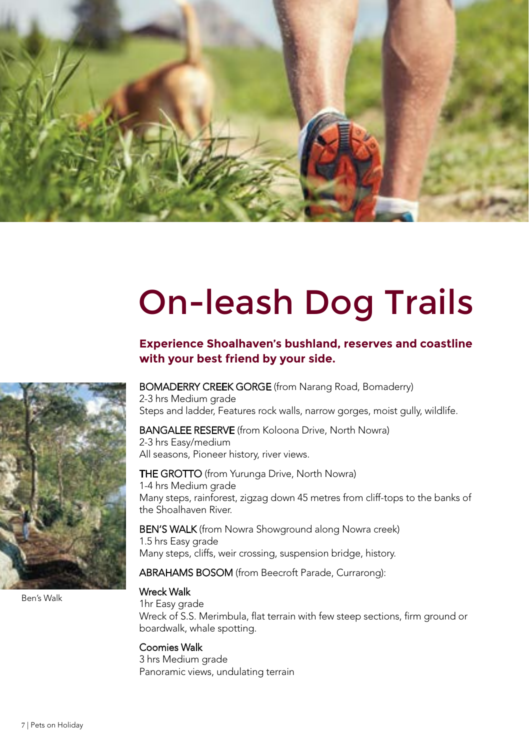

# On-leash Dog Trails

## **Experience Shoalhaven's bushland, reserves and coastline with your best friend by your side.**

#### BOMADERRY CREEK GORGE (from Narang Road, Bomaderry)

2-3 hrs Medium grade Steps and ladder, Features rock walls, narrow gorges, moist gully, wildlife.

**BANGALEE RESERVE** (from Koloona Drive, North Nowra)

2-3 hrs Easy/medium All seasons, Pioneer history, river views.

THE GROTTO (from Yurunga Drive, North Nowra) 1-4 hrs Medium grade Many steps, rainforest, zigzag down 45 metres from cliff-tops to the banks of the Shoalhaven River.

BEN'S WALK (from Nowra Showground along Nowra creek) 1.5 hrs Easy grade Many steps, cliffs, weir crossing, suspension bridge, history.

ABRAHAMS BOSOM (from Beecroft Parade, Currarong):

#### Wreck Walk

1hr Easy grade Wreck of S.S. Merimbula, flat terrain with few steep sections, firm ground or boardwalk, whale spotting.

## Coomies Walk

3 hrs Medium grade Panoramic views, undulating terrain



Ben's Walk